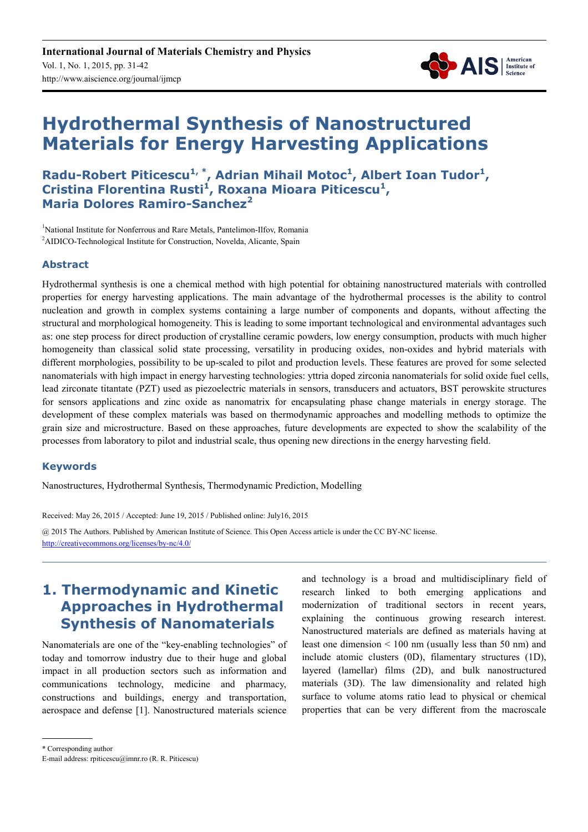

# **Hydrothermal Synthesis of Nanostructured Materials for Energy Harvesting Applications**

**Radu-Robert Piticescu1, \*, Adrian Mihail Motoc<sup>1</sup> , Albert Ioan Tudor<sup>1</sup> , Cristina Florentina Rusti<sup>1</sup> , Roxana Mioara Piticescu<sup>1</sup> , Maria Dolores Ramiro-Sanchez<sup>2</sup>**

<sup>1</sup>National Institute for Nonferrous and Rare Metals, Pantelimon-Ilfov, Romania <sup>2</sup>AIDICO-Technological Institute for Construction, Novelda, Alicante, Spain

#### **Abstract**

Hydrothermal synthesis is one a chemical method with high potential for obtaining nanostructured materials with controlled properties for energy harvesting applications. The main advantage of the hydrothermal processes is the ability to control nucleation and growth in complex systems containing a large number of components and dopants, without affecting the structural and morphological homogeneity. This is leading to some important technological and environmental advantages such as: one step process for direct production of crystalline ceramic powders, low energy consumption, products with much higher homogeneity than classical solid state processing, versatility in producing oxides, non-oxides and hybrid materials with different morphologies, possibility to be up-scaled to pilot and production levels. These features are proved for some selected nanomaterials with high impact in energy harvesting technologies: yttria doped zirconia nanomaterials for solid oxide fuel cells, lead zirconate titantate (PZT) used as piezoelectric materials in sensors, transducers and actuators, BST perowskite structures for sensors applications and zinc oxide as nanomatrix for encapsulating phase change materials in energy storage. The development of these complex materials was based on thermodynamic approaches and modelling methods to optimize the grain size and microstructure. Based on these approaches, future developments are expected to show the scalability of the processes from laboratory to pilot and industrial scale, thus opening new directions in the energy harvesting field.

#### **Keywords**

Nanostructures, Hydrothermal Synthesis, Thermodynamic Prediction, Modelling

Received: May 26, 2015 / Accepted: June 19, 2015 / Published online: July16, 2015

@ 2015 The Authors. Published by American Institute of Science. This Open Access article is under the CC BY-NC license. http://creativecommons.org/licenses/by-nc/4.0/

# **1. Thermodynamic and Kinetic Approaches in Hydrothermal Synthesis of Nanomaterials**

Nanomaterials are one of the "key-enabling technologies" of today and tomorrow industry due to their huge and global impact in all production sectors such as information and communications technology, medicine and pharmacy, constructions and buildings, energy and transportation, aerospace and defense [1]. Nanostructured materials science and technology is a broad and multidisciplinary field of research linked to both emerging applications and modernization of traditional sectors in recent years, explaining the continuous growing research interest. Nanostructured materials are defined as materials having at least one dimension < 100 nm (usually less than 50 nm) and include atomic clusters (0D), filamentary structures (1D), layered (lamellar) films (2D), and bulk nanostructured materials (3D). The law dimensionality and related high surface to volume atoms ratio lead to physical or chemical properties that can be very different from the macroscale

\* Corresponding author

E-mail address: rpiticescu@imnr.ro (R. R. Piticescu)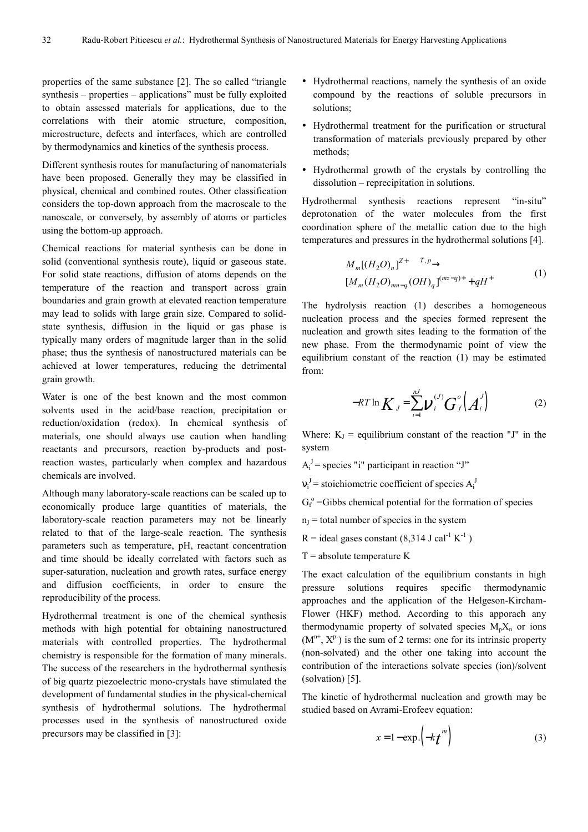properties of the same substance [2]. The so called "triangle synthesis – properties – applications" must be fully exploited to obtain assessed materials for applications, due to the correlations with their atomic structure, composition, microstructure, defects and interfaces, which are controlled by thermodynamics and kinetics of the synthesis process.

Different synthesis routes for manufacturing of nanomaterials have been proposed. Generally they may be classified in physical, chemical and combined routes. Other classification considers the top-down approach from the macroscale to the nanoscale, or conversely, by assembly of atoms or particles using the bottom-up approach.

Chemical reactions for material synthesis can be done in solid (conventional synthesis route), liquid or gaseous state. For solid state reactions, diffusion of atoms depends on the temperature of the reaction and transport across grain boundaries and grain growth at elevated reaction temperature may lead to solids with large grain size. Compared to solidstate synthesis, diffusion in the liquid or gas phase is typically many orders of magnitude larger than in the solid phase; thus the synthesis of nanostructured materials can be achieved at lower temperatures, reducing the detrimental grain growth.

Water is one of the best known and the most common solvents used in the acid/base reaction, precipitation or reduction/oxidation (redox). In chemical synthesis of materials, one should always use caution when handling reactants and precursors, reaction by-products and postreaction wastes, particularly when complex and hazardous chemicals are involved.

Although many laboratory-scale reactions can be scaled up to economically produce large quantities of materials, the laboratory-scale reaction parameters may not be linearly related to that of the large-scale reaction. The synthesis parameters such as temperature, pH, reactant concentration and time should be ideally correlated with factors such as super-saturation, nucleation and growth rates, surface energy and diffusion coefficients, in order to ensure the reproducibility of the process.

Hydrothermal treatment is one of the chemical synthesis methods with high potential for obtaining nanostructured materials with controlled properties. The hydrothermal chemistry is responsible for the formation of many minerals. The success of the researchers in the hydrothermal synthesis of big quartz piezoelectric mono-crystals have stimulated the development of fundamental studies in the physical-chemical synthesis of hydrothermal solutions. The hydrothermal processes used in the synthesis of nanostructured oxide precursors may be classified in [3]:

- Hydrothermal reactions, namely the synthesis of an oxide compound by the reactions of soluble precursors in solutions;
- Hydrothermal treatment for the purification or structural transformation of materials previously prepared by other methods;
- Hydrothermal growth of the crystals by controlling the dissolution – reprecipitation in solutions.

Hydrothermal synthesis reactions represent "in-situ" deprotonation of the water molecules from the first coordination sphere of the metallic cation due to the high temperatures and pressures in the hydrothermal solutions [4].

$$
M_m[(H_2O)_n]^{Z^+} \xrightarrow{T,p} \qquad (1)
$$
  

$$
[M_m(H_2O)_{mn-q}(OH)_q]^{(mz-q)+} + qH^+
$$

The hydrolysis reaction (1) describes a homogeneous nucleation process and the species formed represent the nucleation and growth sites leading to the formation of the new phase. From the thermodynamic point of view the equilibrium constant of the reaction (1) may be estimated from:

$$
-RT \ln K_J = \sum_{i=1}^{nJ} V_i^{(J)} G_f^{(J)}(A_i^{J})
$$
 (2)

Where:  $K_J$  = equilibrium constant of the reaction "J" in the system

- $A_i^J$  = species "i" participant in reaction "J"
- $v_i^J$  = stoichiometric coefficient of species  $A_i^J$

 $G_f^{\circ}$  =Gibbs chemical potential for the formation of species

- $n_J$  = total number of species in the system
- $R =$  ideal gases constant (8,314 J cal<sup>-1</sup> K<sup>-1</sup>)
- $T =$  absolute temperature K

The exact calculation of the equilibrium constants in high pressure solutions requires specific thermodynamic approaches and the application of the Helgeson-Kircham-Flower (HKF) method. According to this apporach any thermodynamic property of solvated species  $M_nX_n$  or ions  $(M<sup>n+</sup>, X<sup>p</sup>)$  is the sum of 2 terms: one for its intrinsic property (non-solvated) and the other one taking into account the contribution of the interactions solvate species (ion)/solvent (solvation) [5].

The kinetic of hydrothermal nucleation and growth may be studied based on Avrami-Erofeev equation:

$$
x = 1 - \exp\left(-k \, t^m\right) \tag{3}
$$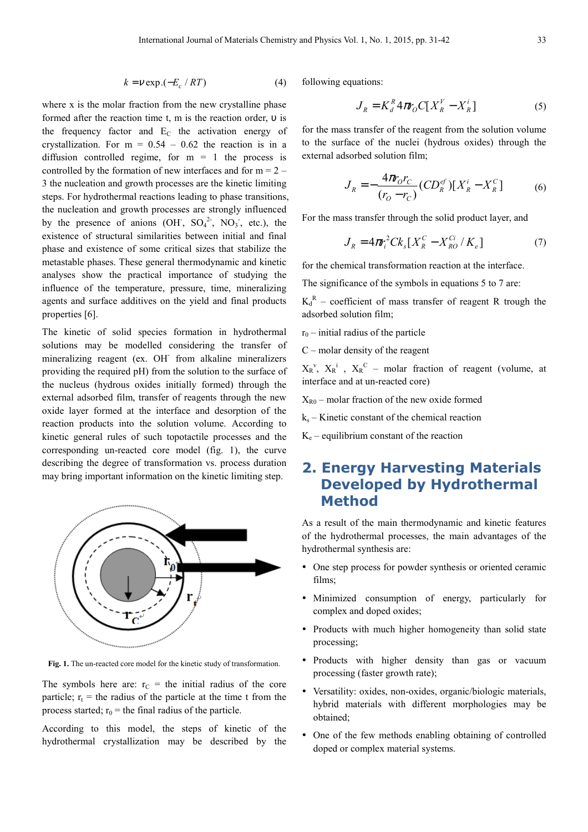$$
k = v \exp \left(-E_c / RT\right) \tag{4}
$$

where x is the molar fraction from the new crystalline phase formed after the reaction time t, m is the reaction order, υ is the frequency factor and  $E_C$  the activation energy of crystallization. For  $m = 0.54 - 0.62$  the reaction is in a diffusion controlled regime, for  $m = 1$  the process is controlled by the formation of new interfaces and for  $m = 2 -$ 3 the nucleation and growth processes are the kinetic limiting steps. For hydrothermal reactions leading to phase transitions, the nucleation and growth processes are strongly influenced by the presence of anions (OH,  $SO_4^2$ ,  $NO_3$ , etc.), the existence of structural similarities between initial and final phase and existence of some critical sizes that stabilize the metastable phases. These general thermodynamic and kinetic analyses show the practical importance of studying the influence of the temperature, pressure, time, mineralizing agents and surface additives on the yield and final products properties [6].

The kinetic of solid species formation in hydrothermal solutions may be modelled considering the transfer of mineralizing reagent (ex. OH<sup>-</sup> from alkaline mineralizers providing the required pH) from the solution to the surface of the nucleus (hydrous oxides initially formed) through the external adsorbed film, transfer of reagents through the new oxide layer formed at the interface and desorption of the reaction products into the solution volume. According to kinetic general rules of such topotactile processes and the corresponding un-reacted core model (fig. 1), the curve describing the degree of transformation vs. process duration may bring important information on the kinetic limiting step.



Fig. 1. The un-reacted core model for the kinetic study of transformation.

The symbols here are:  $r_C$  = the initial radius of the core particle;  $r_t$  = the radius of the particle at the time t from the process started;  $r_0$  = the final radius of the particle.

According to this model, the steps of kinetic of the hydrothermal crystallization may be described by the following equations:

$$
J_R = K_d^R 4\pi r_O C[X_R^V - X_R^i]
$$
 (5)

for the mass transfer of the reagent from the solution volume to the surface of the nuclei (hydrous oxides) through the external adsorbed solution film;

$$
J_R = -\frac{4\pi r_0 r_C}{(r_0 - r_C)} (CD_R^{ef}) [X_R^i - X_R^c]
$$
 (6)

For the mass transfer through the solid product layer, and

$$
J_R = 4\pi r_i^2 C k_s [X_R^C - X_{R0}^{Ci} / K_e]
$$
 (7)

for the chemical transformation reaction at the interface.

The significance of the symbols in equations 5 to 7 are:

 $K_d^R$  – coefficient of mass transfer of reagent R trough the adsorbed solution film;

 $r_0$  – initial radius of the particle

C – molar density of the reagent

 $X_R^{\nu}$ ,  $X_R^{\nu}$  ,  $X_R^{\nu}$  – molar fraction of reagent (volume, at interface and at un-reacted core)

 $X_{R0}$  – molar fraction of the new oxide formed

ks – Kinetic constant of the chemical reaction

 $K_e$  – equilibrium constant of the reaction

### **2. Energy Harvesting Materials Developed by Hydrothermal Method**

As a result of the main thermodynamic and kinetic features of the hydrothermal processes, the main advantages of the hydrothermal synthesis are:

- One step process for powder synthesis or oriented ceramic films;
- Minimized consumption of energy, particularly for complex and doped oxides;
- Products with much higher homogeneity than solid state processing;
- Products with higher density than gas or vacuum processing (faster growth rate);
- Versatility: oxides, non-oxides, organic/biologic materials, hybrid materials with different morphologies may be obtained;
- One of the few methods enabling obtaining of controlled doped or complex material systems.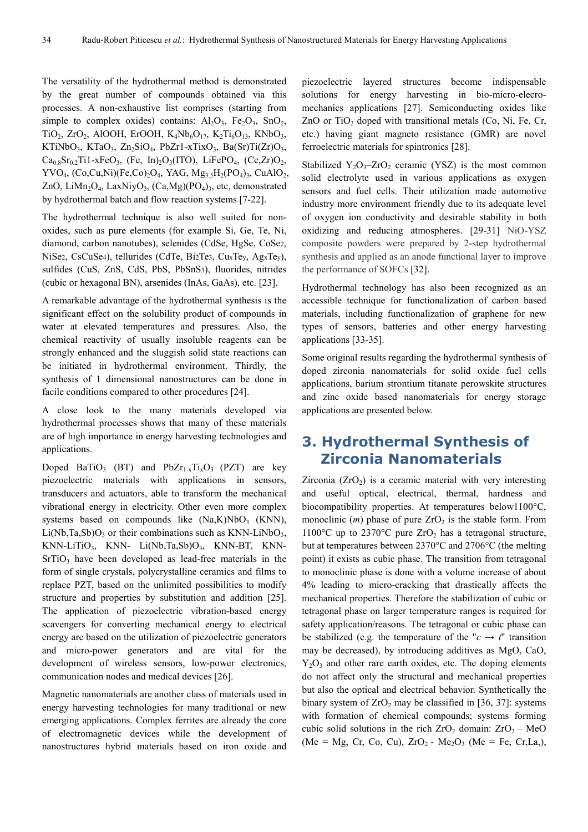The versatility of the hydrothermal method is demonstrated by the great number of compounds obtained via this processes. A non-exhaustive list comprises (starting from simple to complex oxides) contains:  $Al_2O_3$ ,  $Fe_2O_3$ ,  $SnO_2$ , TiO<sub>2</sub>, ZrO<sub>2</sub>, AlOOH, ErOOH, K<sub>4</sub>Nb<sub>6</sub>O<sub>17</sub>, K<sub>2</sub>Ti<sub>6</sub>O<sub>13</sub>, KNbO<sub>3</sub>, KTiNbO<sub>3</sub>, KTaO<sub>3</sub>, Zn<sub>2</sub>SiO<sub>4</sub>, PbZr1-xTixO<sub>3</sub>, Ba(Sr)Ti(Zr)O<sub>3</sub>,  $Ca_{0.8}Sr_{0.2}Ti1-xFeO_3$ , (Fe, In)<sub>2</sub>O<sub>3</sub>(ITO), LiFePO<sub>4</sub>, (Ce,Zr)O<sub>2</sub>, YVO<sub>4</sub>, (Co,Cu,Ni)(Fe,Co)<sub>2</sub>O<sub>4</sub>, YAG, Mg<sub>3.5</sub>H<sub>2</sub>(PO<sub>4</sub>)<sub>3</sub>, CuAlO<sub>2</sub>, ZnO, LiMn<sub>2</sub>O<sub>4</sub>, LaxNiyO<sub>3</sub>, (Ca,Mg)(PO<sub>4</sub>)<sub>3</sub>, etc, demonstrated by hydrothermal batch and flow reaction systems [7-22].

The hydrothermal technique is also well suited for nonoxides, such as pure elements (for example Si, Ge, Te, Ni, diamond, carbon nanotubes), selenides (CdSe, HgSe, CoSe2, NiSe2, CsCuSe4), tellurides (CdTe, Bi2Te3, CuxTey, AgxTey), sulfides (CuS, ZnS, CdS, PbS, PbSnS3), fluorides, nitrides (cubic or hexagonal BN), arsenides (InAs, GaAs), etc. [23].

A remarkable advantage of the hydrothermal synthesis is the significant effect on the solubility product of compounds in water at elevated temperatures and pressures. Also, the chemical reactivity of usually insoluble reagents can be strongly enhanced and the sluggish solid state reactions can be initiated in hydrothermal environment. Thirdly, the synthesis of 1 dimensional nanostructures can be done in facile conditions compared to other procedures [24].

A close look to the many materials developed via hydrothermal processes shows that many of these materials are of high importance in energy harvesting technologies and applications.

Doped BaTiO<sub>3</sub> (BT) and PbZr<sub>1-x</sub>Ti<sub>x</sub>O<sub>3</sub> (PZT) are key piezoelectric materials with applications in sensors, transducers and actuators, able to transform the mechanical vibrational energy in electricity. Other even more complex systems based on compounds like  $(Na,K)NbO<sub>3</sub>$  (KNN),  $Li(Nb,Ta, Sb)O<sub>3</sub>$  or their combinations such as KNN-LiNbO<sub>3</sub>,  $KNN-LiTiO<sub>3</sub>$ , KNN-  $Li(Nb,Ta,Sb)O<sub>3</sub>$ , KNN-BT, KNN- $SrTiO<sub>3</sub>$  have been developed as lead-free materials in the form of single crystals, polycrystalline ceramics and films to replace PZT, based on the unlimited possibilities to modify structure and properties by substitution and addition [25]. The application of piezoelectric vibration-based energy scavengers for converting mechanical energy to electrical energy are based on the utilization of piezoelectric generators and micro-power generators and are vital for the development of wireless sensors, low-power electronics, communication nodes and medical devices [26].

Magnetic nanomaterials are another class of materials used in energy harvesting technologies for many traditional or new emerging applications. Complex ferrites are already the core of electromagnetic devices while the development of nanostructures hybrid materials based on iron oxide and piezoelectric layered structures become indispensable solutions for energy harvesting in bio-micro-elecromechanics applications [27]. Semiconducting oxides like ZnO or TiO<sub>2</sub> doped with transitional metals  $(Co, Ni, Fe, Cr,$ etc.) having giant magneto resistance (GMR) are novel ferroelectric materials for spintronics [28].

Stabilized  $Y_2O_3$ -ZrO<sub>2</sub> ceramic (YSZ) is the most common solid electrolyte used in various applications as oxygen sensors and fuel cells. Their utilization made automotive industry more environment friendly due to its adequate level of oxygen ion conductivity and desirable stability in both oxidizing and reducing atmospheres. [29-31] NiO-YSZ composite powders were prepared by 2-step hydrothermal synthesis and applied as an anode functional layer to improve the performance of SOFCs [32].

Hydrothermal technology has also been recognized as an accessible technique for functionalization of carbon based materials, including functionalization of graphene for new types of sensors, batteries and other energy harvesting applications [33-35].

Some original results regarding the hydrothermal synthesis of doped zirconia nanomaterials for solid oxide fuel cells applications, barium strontium titanate perowskite structures and zinc oxide based nanomaterials for energy storage applications are presented below.

## **3. Hydrothermal Synthesis of Zirconia Nanomaterials**

Zirconia  $(ZrO<sub>2</sub>)$  is a ceramic material with very interesting and useful optical, electrical, thermal, hardness and biocompatibility properties. At temperatures below1100°С, monoclinic  $(m)$  phase of pure  $ZrO<sub>2</sub>$  is the stable form. From 1100°C up to 2370°C pure  $ZrO<sub>2</sub>$  has a tetragonal structure, but at temperatures between 2370°С and 2706°С (the melting point) it exists as cubic phase. The transition from tetragonal to monoclinic phase is done with a volume increase of about 4% leading to micro-cracking that drastically affects the mechanical properties. Therefore the stabilization of cubic or tetragonal phase on larger temperature ranges is required for safety application/reasons. The tetragonal or cubic phase can be stabilized (e.g. the temperature of the " $c \rightarrow t$ " transition may be decreased), by introducing additives as MgO, CaO,  $Y_2O_3$  and other rare earth oxides, etc. The doping elements do not affect only the structural and mechanical properties but also the optical and electrical behavior. Synthetically the binary system of  $ZrO<sub>2</sub>$  may be classified in [36, 37]: systems with formation of chemical compounds; systems forming cubic solid solutions in the rich  $ZrO<sub>2</sub>$  domain:  $ZrO<sub>2</sub> - MeO$ (Me = Mg, Cr, Co, Cu),  $ZrO_2$  - Me<sub>2</sub>O<sub>3</sub> (Me = Fe, Cr, La,),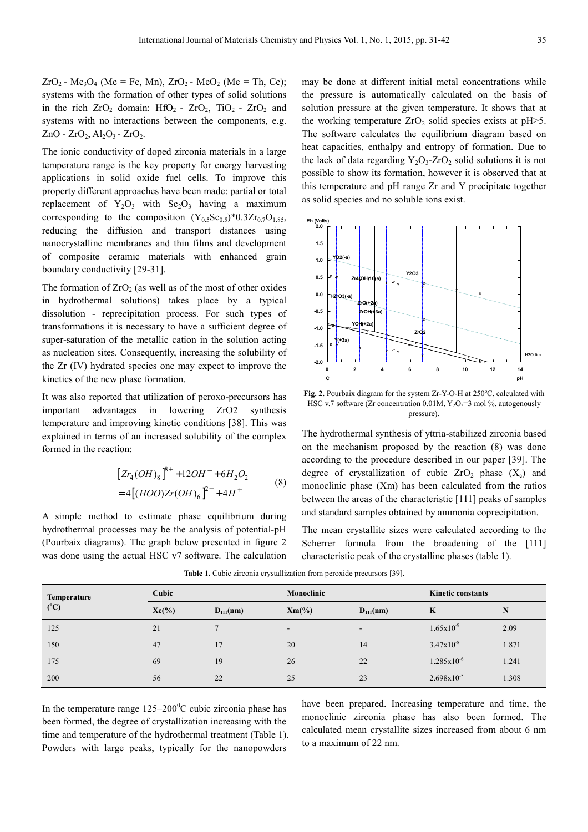$ZrO_2$  - Me<sub>3</sub>O<sub>4</sub> (Me = Fe, Mn),  $ZrO_2$  - MeO<sub>2</sub> (Me = Th, Ce); systems with the formation of other types of solid solutions in the rich  $ZrO_2$  domain:  $HfO_2$  -  $ZrO_2$ ,  $TiO_2$  -  $ZrO_2$  and systems with no interactions between the components, e.g.  $ZnO - ZrO_2$ ,  $Al_2O_3 - ZrO_2$ .

The ionic conductivity of doped zirconia materials in a large temperature range is the key property for energy harvesting applications in solid oxide fuel cells. To improve this property different approaches have been made: partial or total replacement of  $Y_2O_3$  with  $Sc_2O_3$  having a maximum corresponding to the composition  $(Y_{0.5}Sc_{0.5})^*0.3Zr_{0.7}O_{1.85}$ , reducing the diffusion and transport distances using nanocrystalline membranes and thin films and development of composite ceramic materials with enhanced grain boundary conductivity [29-31].

The formation of  $ZrO<sub>2</sub>$  (as well as of the most of other oxides in hydrothermal solutions) takes place by a typical dissolution - reprecipitation process. For such types of transformations it is necessary to have a sufficient degree of super-saturation of the metallic cation in the solution acting as nucleation sites. Consequently, increasing the solubility of the Zr (IV) hydrated species one may expect to improve the kinetics of the new phase formation.

It was also reported that utilization of peroxo-precursors has important advantages in lowering ZrO2 synthesis temperature and improving kinetic conditions [38]. This was explained in terms of an increased solubility of the complex formed in the reaction:

$$
[Zr_4(OH)_8]^{8+} + 12OH^- + 6H_2O_2
$$
  
= 4[(HOO)Zr(OH)<sub>6</sub>]<sup>2-</sup> + 4H<sup>+</sup> (8)

A simple method to estimate phase equilibrium during hydrothermal processes may be the analysis of potential-pH (Pourbaix diagrams). The graph below presented in figure 2 was done using the actual HSC v7 software. The calculation may be done at different initial metal concentrations while the pressure is automatically calculated on the basis of solution pressure at the given temperature. It shows that at the working temperature  $ZrO<sub>2</sub>$  solid species exists at pH $>5$ . The software calculates the equilibrium diagram based on heat capacities, enthalpy and entropy of formation. Due to the lack of data regarding  $Y_2O_3$ -ZrO<sub>2</sub> solid solutions it is not possible to show its formation, however it is observed that at this temperature and pH range Zr and Y precipitate together as solid species and no soluble ions exist.



Fig. 2. Pourbaix diagram for the system Zr-Y-O-H at 250°C, calculated with HSC v.7 software (Zr concentration  $0.01M$ ,  $Y_2O_3=3$  mol %, autogenously pressure).

The hydrothermal synthesis of yttria-stabilized zirconia based on the mechanism proposed by the reaction (8) was done according to the procedure described in our paper [39]. The degree of crystallization of cubic  $ZrO<sub>2</sub>$  phase  $(X<sub>c</sub>)$  and monoclinic phase (Xm) has been calculated from the ratios between the areas of the characteristic [111] peaks of samples and standard samples obtained by ammonia coprecipitation.

The mean crystallite sizes were calculated according to the Scherrer formula from the broadening of the [111] characteristic peak of the crystalline phases (table 1).

| <b>Temperature</b> | Cubic    |               | Monoclinic               |                          | <b>Kinetic constants</b> |       |
|--------------------|----------|---------------|--------------------------|--------------------------|--------------------------|-------|
| $(^0C)$            | $Xc(\%)$ | $D_{111}(nm)$ | $Xm(\%)$                 | $D_{111}(nm)$            | K                        | N     |
| 125                | 21       |               | $\overline{\phantom{a}}$ | $\overline{\phantom{a}}$ | $1.65x10^{-9}$           | 2.09  |
| 150                | 47       | 17            | 20                       | 14                       | $3.47x10^{-8}$           | 1.871 |
| 175                | 69       | 19            | 26                       | 22                       | $1.285 \times 10^{-6}$   | 1.241 |
| 200                | 56       | 22            | 25                       | 23                       | $2.698 \times 10^{-5}$   | 1.308 |

**Table 1.** Cubic zirconia crystallization from peroxide precursors [39].

In the temperature range  $125-200^{\circ}$ C cubic zirconia phase has been formed, the degree of crystallization increasing with the time and temperature of the hydrothermal treatment (Table 1). Powders with large peaks, typically for the nanopowders

have been prepared. Increasing temperature and time, the monoclinic zirconia phase has also been formed. The calculated mean crystallite sizes increased from about 6 nm to a maximum of 22 nm.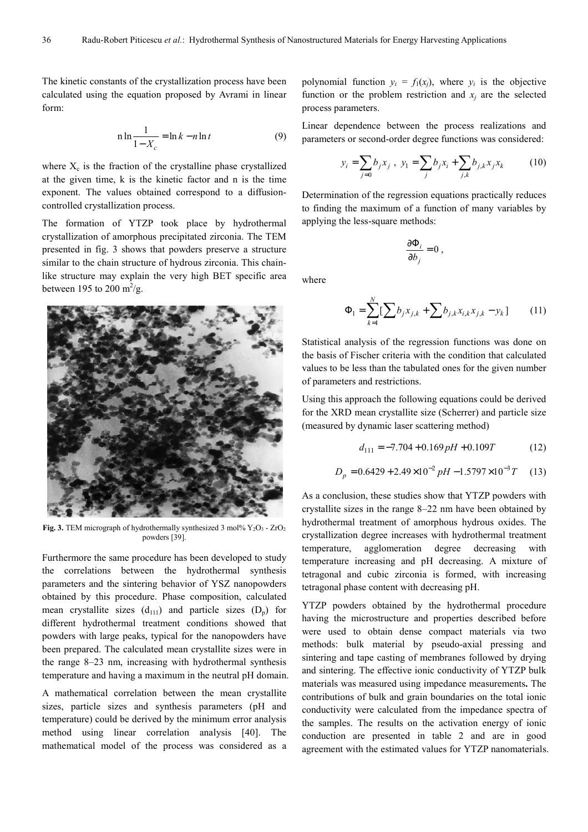The kinetic constants of the crystallization process have been calculated using the equation proposed by Avrami in linear form:

$$
n \ln \frac{1}{1 - X_c} = \ln k - n \ln t \tag{9}
$$

where  $X_c$  is the fraction of the crystalline phase crystallized at the given time, k is the kinetic factor and n is the time exponent. The values obtained correspond to a diffusioncontrolled crystallization process.

The formation of YTZP took place by hydrothermal crystallization of amorphous precipitated zirconia. The TEM presented in fig. 3 shows that powders preserve a structure similar to the chain structure of hydrous zirconia. This chainlike structure may explain the very high BET specific area between 195 to 200  $\mathrm{m}^2/\mathrm{g}$ .



**Fig. 3.** TEM micrograph of hydrothermally synthesized 3 mol%  $Y_2O_3$  - ZrO<sub>2</sub> powders [39].

Furthermore the same procedure has been developed to study the correlations between the hydrothermal synthesis parameters and the sintering behavior of YSZ nanopowders obtained by this procedure. Phase composition, calculated mean crystallite sizes  $(d_{111})$  and particle sizes  $(D_p)$  for different hydrothermal treatment conditions showed that powders with large peaks, typical for the nanopowders have been prepared. The calculated mean crystallite sizes were in the range 8–23 nm, increasing with hydrothermal synthesis temperature and having a maximum in the neutral pH domain.

A mathematical correlation between the mean crystallite sizes, particle sizes and synthesis parameters (pH and temperature) could be derived by the minimum error analysis method using linear correlation analysis [40]. The mathematical model of the process was considered as a

polynomial function  $y_i = f_1(x_j)$ , where  $y_i$  is the objective function or the problem restriction and  $x_j$  are the selected process parameters.

Linear dependence between the process realizations and parameters or second-order degree functions was considered:

$$
y_i = \sum_{j=0} b_j x_j , \ y_1 = \sum_j b_j x_i + \sum_{j,k} b_{j,k} x_j x_k \qquad (10)
$$

Determination of the regression equations practically reduces to finding the maximum of a function of many variables by applying the less-square methods:

$$
\frac{\partial \Phi_i}{\partial b_j} = 0 ,
$$

where

$$
\Phi_1 = \sum_{k=1}^{N} \left[ \sum_{j} b_j x_{j,k} + \sum_{j} b_{j,k} x_{i,k} x_{j,k} - y_k \right]
$$
 (11)

Statistical analysis of the regression functions was done on the basis of Fischer criteria with the condition that calculated values to be less than the tabulated ones for the given number of parameters and restrictions.

Using this approach the following equations could be derived for the XRD mean crystallite size (Scherrer) and particle size (measured by dynamic laser scattering method)

$$
d_{111} = -7.704 + 0.169 \, pH + 0.109T \tag{12}
$$

$$
D_p = 0.6429 + 2.49 \times 10^{-2} pH - 1.5797 \times 10^{-3} T \tag{13}
$$

As a conclusion, these studies show that YTZP powders with crystallite sizes in the range 8–22 nm have been obtained by hydrothermal treatment of amorphous hydrous oxides. The crystallization degree increases with hydrothermal treatment temperature, agglomeration degree decreasing with temperature increasing and pH decreasing. A mixture of tetragonal and cubic zirconia is formed, with increasing tetragonal phase content with decreasing pH.

YTZP powders obtained by the hydrothermal procedure having the microstructure and properties described before were used to obtain dense compact materials via two methods: bulk material by pseudo-axial pressing and sintering and tape casting of membranes followed by drying and sintering. The effective ionic conductivity of YTZP bulk materials was measured using impedance measurements**.** The contributions of bulk and grain boundaries on the total ionic conductivity were calculated from the impedance spectra of the samples. The results on the activation energy of ionic conduction are presented in table 2 and are in good agreement with the estimated values for YTZP nanomaterials.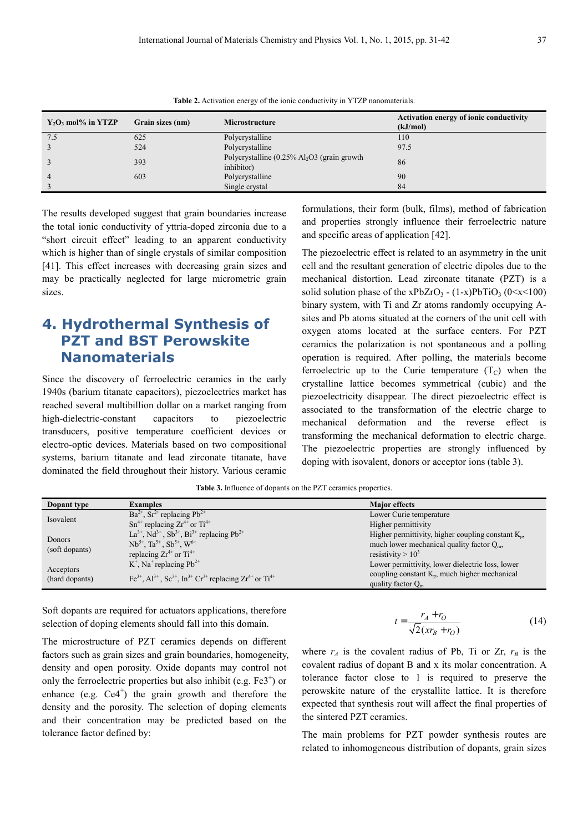|  | I                 | ۰, |
|--|-------------------|----|
|  | I<br>I<br>۰.<br>× |    |
|  |                   |    |

| $Y_2O_3$ mol% in YTZP | Grain sizes (nm) | <b>Microstructure</b>                                                    | Activation energy of ionic conductivity<br>(kJ/mol) |
|-----------------------|------------------|--------------------------------------------------------------------------|-----------------------------------------------------|
| 7.5                   | 625              | Polycrystalline                                                          | 110                                                 |
|                       | 524              | Polycrystalline                                                          | 97.5                                                |
|                       | 393              | Polycrystalline $(0.25\%$ Al <sub>2</sub> O3 (grain growth<br>inhibitor) | 86                                                  |
|                       | 603              | Polycrystalline                                                          | 90                                                  |
|                       |                  | Single crystal                                                           | 84                                                  |

**Table 2.** Activation energy of the ionic conductivity in YTZP nanomaterials.

The results developed suggest that grain boundaries increase the total ionic conductivity of yttria-doped zirconia due to a "short circuit effect" leading to an apparent conductivity which is higher than of single crystals of similar composition [41]. This effect increases with decreasing grain sizes and may be practically neglected for large micrometric grain sizes.

# **4. Hydrothermal Synthesis of PZT and BST Perowskite Nanomaterials**

Since the discovery of ferroelectric ceramics in the early 1940s (barium titanate capacitors), piezoelectrics market has reached several multibillion dollar on a market ranging from high-dielectric-constant capacitors to piezoelectric transducers, positive temperature coefficient devices or electro-optic devices. Materials based on two compositional systems, barium titanate and lead zirconate titanate, have dominated the field throughout their history. Various ceramic formulations, their form (bulk, films), method of fabrication and properties strongly influence their ferroelectric nature and specific areas of application [42].

The piezoelectric effect is related to an asymmetry in the unit cell and the resultant generation of electric dipoles due to the mechanical distortion. Lead zirconate titanate (PZT) is a solid solution phase of the xPbZrO<sub>3</sub> -  $(1-x)PbTiO<sub>3</sub> (0 \le x \le 100)$ binary system, with Ti and Zr atoms randomly occupying Asites and Pb atoms situated at the corners of the unit cell with oxygen atoms located at the surface centers. For PZT ceramics the polarization is not spontaneous and a polling operation is required. After polling, the materials become ferroelectric up to the Curie temperature  $(T_C)$  when the crystalline lattice becomes symmetrical (cubic) and the piezoelectricity disappear. The direct piezoelectric effect is associated to the transformation of the electric charge to mechanical deformation and the reverse effect is transforming the mechanical deformation to electric charge. The piezoelectric properties are strongly influenced by doping with isovalent, donors or acceptor ions (table 3).

| <b>Table 3.</b> Influence of dopants on the PZT ceramics properties. |  |  |  |  |  |  |  |  |
|----------------------------------------------------------------------|--|--|--|--|--|--|--|--|
|----------------------------------------------------------------------|--|--|--|--|--|--|--|--|

| Dopant type                 | <b>Examples</b>                                                                               | <b>Major</b> effects                                    |
|-----------------------------|-----------------------------------------------------------------------------------------------|---------------------------------------------------------|
| Isovalent                   | $Ba^{2+}$ , $Sr^{2+}$ replacing $Pb^{2+}$                                                     | Lower Curie temperature                                 |
|                             | $Sn^{4+}$ replacing $Zr^{4+}$ or $Ti^{4+}$                                                    | Higher permittivity                                     |
| Donors<br>(soft dopants)    | $La^{3+}$ , Nd <sup>3+</sup> , Sb <sup>3+</sup> , Bi <sup>3+</sup> replacing Pb <sup>2+</sup> | Higher permittivity, higher coupling constant $K_{n}$ , |
|                             | $Nb^{5+}$ , $Ta^{5+}$ , $Sb^{5+}$ , $W^{6+}$                                                  | much lower mechanical quality factor $Q_m$ ,            |
|                             | replacing $Zr^{4+}$ or $Ti^{4+}$                                                              | resistivity $> 10^3$                                    |
| Acceptors<br>(hard dopants) | $K^+$ , Na <sup>+</sup> replacing Pb <sup>2+</sup>                                            | Lower permittivity, lower dielectric loss, lower        |
|                             | $[Fe^{3+}, Al^{3+}, Sc^{3+}, In^{3+}Cr^{3+}$ replacing $Zr^{4+}$ or $Ti^{4+}$                 | coupling constant $K_n$ , much higher mechanical        |
|                             |                                                                                               | quality factor $Om$                                     |

Soft dopants are required for actuators applications, therefore selection of doping elements should fall into this domain.

The microstructure of PZT ceramics depends on different factors such as grain sizes and grain boundaries, homogeneity, density and open porosity. Oxide dopants may control not only the ferroelectric properties but also inhibit (e.g.  $Fe3^+$ ) or enhance (e.g.  $Ce4^+$ ) the grain growth and therefore the density and the porosity. The selection of doping elements and their concentration may be predicted based on the tolerance factor defined by:

$$
t = \frac{r_A + r_O}{\sqrt{2}(x_{B} + r_O)}
$$
(14)

where  $r_A$  is the covalent radius of Pb, Ti or Zr,  $r_B$  is the covalent radius of dopant B and x its molar concentration. A tolerance factor close to 1 is required to preserve the perowskite nature of the crystallite lattice. It is therefore expected that synthesis rout will affect the final properties of the sintered PZT ceramics.

The main problems for PZT powder synthesis routes are related to inhomogeneous distribution of dopants, grain sizes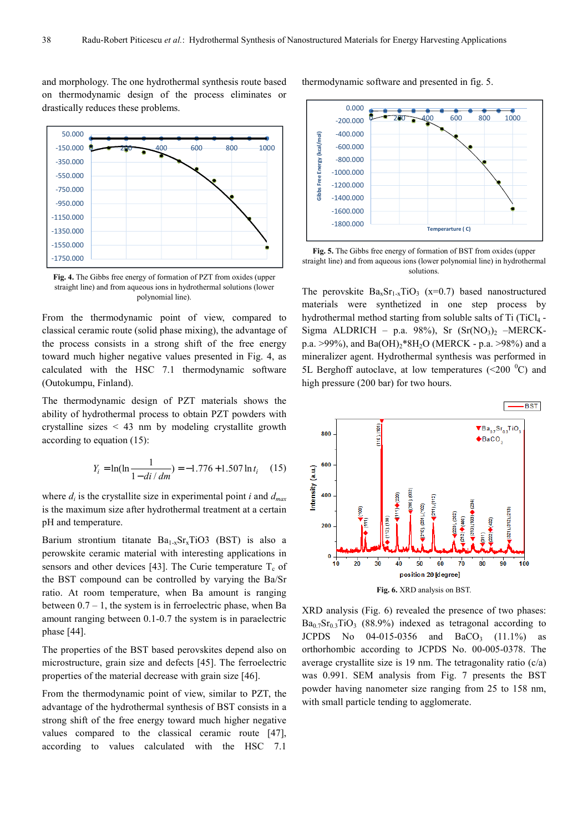and morphology. The one hydrothermal synthesis route based on thermodynamic design of the process eliminates or drastically reduces these problems.



**Fig. 4.** The Gibbs free energy of formation of PZT from oxides (upper straight line) and from aqueous ions in hydrothermal solutions (lower polynomial line).

From the thermodynamic point of view, compared to classical ceramic route (solid phase mixing), the advantage of the process consists in a strong shift of the free energy toward much higher negative values presented in Fig. 4, as calculated with the HSC 7.1 thermodynamic software (Outokumpu, Finland).

The thermodynamic design of PZT materials shows the ability of hydrothermal process to obtain PZT powders with crystalline sizes < 43 nm by modeling crystallite growth according to equation (15):

$$
Y_i = \ln(\ln\frac{1}{1 - di/dm}) = -1.776 + 1.507 \ln t_i \quad (15)
$$

where  $d_i$  is the crystallite size in experimental point *i* and  $d_{max}$ is the maximum size after hydrothermal treatment at a certain pH and temperature.

Barium strontium titanate  $Ba_{1-x}Sr_xTiO3$  (BST) is also a perowskite ceramic material with interesting applications in sensors and other devices [43]. The Curie temperature  $T_c$  of the BST compound can be controlled by varying the Ba/Sr ratio. At room temperature, when Ba amount is ranging between  $0.7 - 1$ , the system is in ferroelectric phase, when Ba amount ranging between 0.1-0.7 the system is in paraelectric phase [44].

The properties of the BST based perovskites depend also on microstructure, grain size and defects [45]. The ferroelectric properties of the material decrease with grain size [46].

From the thermodynamic point of view, similar to PZT, the advantage of the hydrothermal synthesis of BST consists in a strong shift of the free energy toward much higher negative values compared to the classical ceramic route [47], according to values calculated with the HSC 7.1

thermodynamic software and presented in fig. 5.



**Fig. 5.** The Gibbs free energy of formation of BST from oxides (upper straight line) and from aqueous ions (lower polynomial line) in hydrothermal solutions.

The perovskite  $Ba_xSr_{1-x}TiO_3$  (x=0.7) based nanostructured materials were synthetized in one step process by hydrothermal method starting from soluble salts of Ti (TiCl<sub>4</sub> -Sigma ALDRICH – p.a. 98%), Sr  $(Sr(NO<sub>3</sub>)<sub>2</sub> - MERCK$ p.a. >99%), and Ba(OH)<sub>2</sub>\*8H<sub>2</sub>O (MERCK - p.a. >98%) and a mineralizer agent. Hydrothermal synthesis was performed in 5L Berghoff autoclave, at low temperatures ( $\leq 200$  °C) and high pressure (200 bar) for two hours.



XRD analysis (Fig. 6) revealed the presence of two phases:  $Ba<sub>0.7</sub>Sr<sub>0.3</sub>TiO<sub>3</sub>$  (88.9%) indexed as tetragonal according to JCPDS No  $04-015-0356$  and  $BaCO_3$   $(11.1\%)$  as orthorhombic according to JCPDS No. 00-005-0378. The average crystallite size is 19 nm. The tetragonality ratio (c/a) was 0.991. SEM analysis from Fig. 7 presents the BST powder having nanometer size ranging from 25 to 158 nm, with small particle tending to agglomerate.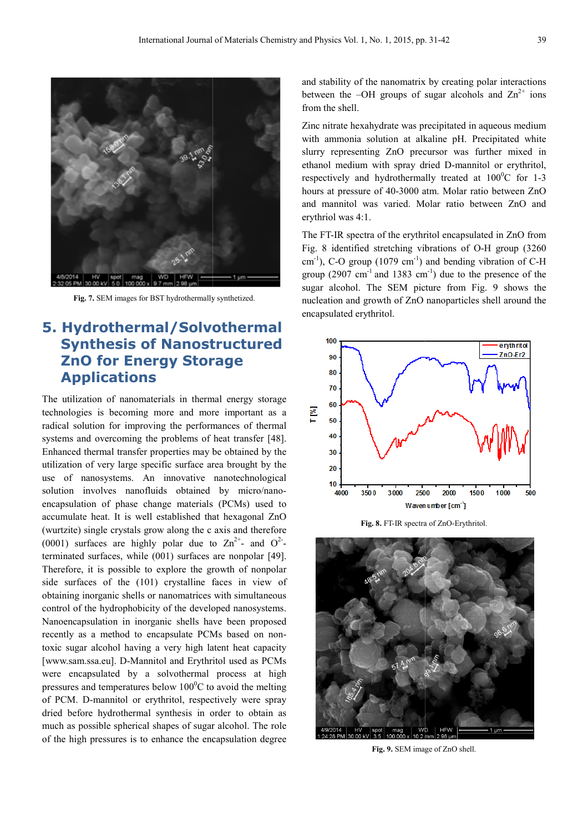

Fig. 7. SEM images for BST hydrothermally synthetized.

#### **5. Hydrothermal/Solvothermal Synthesis of Nanostructured ZnO for Energy Storage Applications Solvothermal<br>Inostructured<br>Storage**

The utilization of nanomaterials in thermal energy storage technologies is becoming more and more important as a radical solution for improving the performances of thermal systems and overcoming the problems of heat transfer [48]. Enhanced thermal transfer properties may be obtained by the utilization of very large specific surface area area brought by the use of nanosystems. An innovative nanotechnological solution involves nanofluids obtained by micro/nanoencapsulation of phase change materials (PCMs) used to accumulate heat. It is well established that hexagonal ZnO (wurtzite) single crystals grow along the c axis and therefore (0001) surfaces are highly polar due to  $\text{Zn}^{2+}$  and  $\text{O}^{2-}$ terminated surfaces, while (001) surfaces are nonpolar [49]. Therefore, it is possible to explore the growth of nonpolar side surfaces of the (101) crystalline faces in view of obtaining inorganic shells or nanomatrices with simultaneous control of the hydrophobicity of the developed nanosystems. Nanoencapsulation in inorganic shells have been proposed recently as a method to encapsulate PCMs PCMs based on nontoxic sugar alcohol having a very high latent latent heat capacity [www.sam.ssa.eu]. D-Mannitol and Erythritol used as PCMs were encapsulated by a solvothermal process at high pressures and temperatures below  $100^{\circ}$ C to avoid the melting of PCM. D-mannitol or erythritol, respectively were spray dried before hydrothermal synthesis in order to obtain as much as possible spherical shapes of sugar alcohol. The role of the high pressures is to enhance the encapsulation degree

and stability of the nanomatrix by creating polar interactions between the  $-OH$  groups of sugar alcohols and  $Zn^{2+}$  ions from the shell.

Zinc nitrate hexahydrate was precipitated in aqueous medium with ammonia solution at alkaline pH. Precipitated white slurry representing ZnO precursor was further mixed in ethanol medium with spray dried D-mannitol or erythritol, respectively and hydrothermally treated at  $100^{\circ}$ C for 1-3 hours at pressure of 40-3000 atm. Molar ratio between ZnO and mannitol was varied. Molar Molar ratio between ZnO and erythriol was 4:1.

The FT-IR spectra of the erythritol encapsulated in ZnO from Fig. 8 identified stretching vibrations of O-H group (3260  $\text{cm}^{-1}$ ), C-O group (1079 cm<sup>-1</sup>) and bending vibration of C-H group  $(2907 \text{ cm}^{-1} \text{ and } 1383 \text{ cm}^{-1})$  due to the presence of the sugar alcohol. The SEM picture from Fig. 9 shows the nucleation and growth of ZnO nanoparticles shell around the encapsulated erythritol.



Fig. 8. FT-IR spectra of ZnO-Erythritol.



Fig. 9. SEM image of ZnO shell.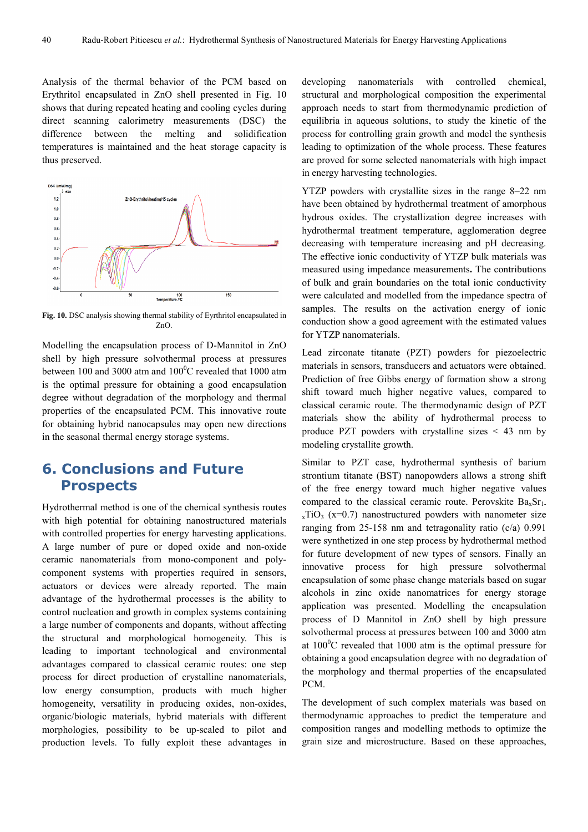Analysis of the thermal behavior of the PCM based on Erythritol encapsulated in ZnO shell presented in Fig. 10 shows that during repeated heating and cooling cycles during direct scanning calorimetry measurements (DSC) the difference between the melting and solidification temperatures is maintained and the heat storage capacity is thus preserved.



**Fig. 10.** DSC analysis showing thermal stability of Eyrthritol encapsulated in ZnO.

Modelling the encapsulation process of D-Mannitol in ZnO shell by high pressure solvothermal process at pressures between 100 and 3000 atm and  $100^{\circ}$ C revealed that 1000 atm is the optimal pressure for obtaining a good encapsulation degree without degradation of the morphology and thermal properties of the encapsulated PCM. This innovative route for obtaining hybrid nanocapsules may open new directions in the seasonal thermal energy storage systems.

### **6. Conclusions and Future Prospects**

Hydrothermal method is one of the chemical synthesis routes with high potential for obtaining nanostructured materials with controlled properties for energy harvesting applications. A large number of pure or doped oxide and non-oxide ceramic nanomaterials from mono-component and polycomponent systems with properties required in sensors, actuators or devices were already reported. The main advantage of the hydrothermal processes is the ability to control nucleation and growth in complex systems containing a large number of components and dopants, without affecting the structural and morphological homogeneity. This is leading to important technological and environmental advantages compared to classical ceramic routes: one step process for direct production of crystalline nanomaterials, low energy consumption, products with much higher homogeneity, versatility in producing oxides, non-oxides, organic/biologic materials, hybrid materials with different morphologies, possibility to be up-scaled to pilot and production levels. To fully exploit these advantages in

developing nanomaterials with controlled chemical, structural and morphological composition the experimental approach needs to start from thermodynamic prediction of equilibria in aqueous solutions, to study the kinetic of the process for controlling grain growth and model the synthesis leading to optimization of the whole process. These features are proved for some selected nanomaterials with high impact in energy harvesting technologies.

YTZP powders with crystallite sizes in the range 8–22 nm have been obtained by hydrothermal treatment of amorphous hydrous oxides. The crystallization degree increases with hydrothermal treatment temperature, agglomeration degree decreasing with temperature increasing and pH decreasing. The effective ionic conductivity of YTZP bulk materials was measured using impedance measurements**.** The contributions of bulk and grain boundaries on the total ionic conductivity were calculated and modelled from the impedance spectra of samples. The results on the activation energy of ionic conduction show a good agreement with the estimated values for YTZP nanomaterials.

Lead zirconate titanate (PZT) powders for piezoelectric materials in sensors, transducers and actuators were obtained. Prediction of free Gibbs energy of formation show a strong shift toward much higher negative values, compared to classical ceramic route. The thermodynamic design of PZT materials show the ability of hydrothermal process to produce PZT powders with crystalline sizes  $\leq$  43 nm by modeling crystallite growth.

Similar to PZT case, hydrothermal synthesis of barium strontium titanate (BST) nanopowders allows a strong shift of the free energy toward much higher negative values compared to the classical ceramic route. Perovskite  $Ba<sub>x</sub>Sr<sub>1</sub>$ .  $xTiO<sub>3</sub>$  (x=0.7) nanostructured powders with nanometer size ranging from 25-158 nm and tetragonality ratio (c/a) 0.991 were synthetized in one step process by hydrothermal method for future development of new types of sensors. Finally an innovative process for high pressure solvothermal encapsulation of some phase change materials based on sugar alcohols in zinc oxide nanomatrices for energy storage application was presented. Modelling the encapsulation process of D Mannitol in ZnO shell by high pressure solvothermal process at pressures between 100 and 3000 atm at  $100^{\circ}$ C revealed that 1000 atm is the optimal pressure for obtaining a good encapsulation degree with no degradation of the morphology and thermal properties of the encapsulated PCM.

The development of such complex materials was based on thermodynamic approaches to predict the temperature and composition ranges and modelling methods to optimize the grain size and microstructure. Based on these approaches,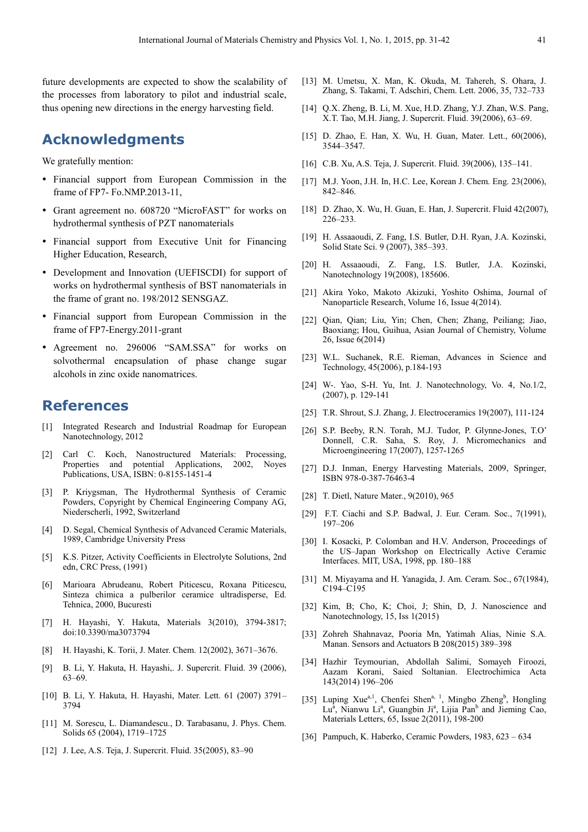future developments are expected to show the scalability of the processes from laboratory to pilot and industrial scale, thus opening new directions in the energy harvesting field.

### **Acknowledgments**

We gratefully mention:

- Financial support from European Commission in the frame of FP7- Fo.NMP.2013-11,
- Grant agreement no. 608720 "MicroFAST" for works on hydrothermal synthesis of PZT nanomaterials
- Financial support from Executive Unit for Financing Higher Education, Research,
- Development and Innovation (UEFISCDI) for support of works on hydrothermal synthesis of BST nanomaterials in the frame of grant no. 198/2012 SENSGAZ.
- Financial support from European Commission in the frame of FP7-Energy.2011-grant
- Agreement no. 296006 "SAM.SSA" for works on solvothermal encapsulation of phase change sugar alcohols in zinc oxide nanomatrices.

#### **References**

- [1] Integrated Research and Industrial Roadmap for European Nanotechnology, 2012
- [2] Carl C. Koch, Nanostructured Materials: Processing, Properties and potential Applications, 2002, Noyes Publications, USA, ISBN: 0-8155-1451-4
- [3] P. Kriygsman, The Hydrothermal Synthesis of Ceramic Powders, Copyright by Chemical Engineering Company AG, Niederscherli, 1992, Switzerland
- [4] D. Segal, Chemical Synthesis of Advanced Ceramic Materials, 1989, Cambridge University Press
- [5] K.S. Pitzer, Activity Coefficients in Electrolyte Solutions, 2nd edn, CRC Press, (1991)
- [6] Marioara Abrudeanu, Robert Piticescu, Roxana Piticescu, Sinteza chimica a pulberilor ceramice ultradisperse, Ed. Tehnica, 2000, Bucuresti
- [7] H. Hayashi, Y. Hakuta, Materials 3(2010), 3794-3817; doi:10.3390/ma3073794
- [8] H. Hayashi, K. Torii, J. Mater. Chem. 12(2002), 3671–3676.
- [9] B. Li, Y. Hakuta, H. Hayashi,. J. Supercrit. Fluid. 39 (2006), 63–69.
- [10] B. Li, Y. Hakuta, H. Hayashi, Mater. Lett. 61 (2007) 3791– 3794
- [11] M. Sorescu, L. Diamandescu., D. Tarabasanu, J. Phys. Chem. Solids 65 (2004), 1719–1725
- [12] J. Lee, A.S. Teja, J. Supercrit. Fluid. 35(2005), 83–90
- [13] M. Umetsu, X. Man, K. Okuda, M. Tahereh, S. Ohara, J. Zhang, S. Takami, T. Adschiri, Chem. Lett. 2006, 35, 732–733
- [14] O.X. Zheng, B. Li, M. Xue, H.D. Zhang, Y.J. Zhan, W.S. Pang, X.T. Tao, M.H. Jiang, J. Supercrit. Fluid. 39(2006), 63–69.
- [15] D. Zhao, E. Han, X. Wu, H. Guan, Mater. Lett., 60(2006), 3544–3547.
- [16] C.B. Xu, A.S. Teja, J. Supercrit. Fluid. 39(2006), 135–141.
- [17] M.J. Yoon, J.H. In, H.C. Lee, Korean J. Chem. Eng. 23(2006), 842–846.
- [18] D. Zhao, X. Wu, H. Guan, E. Han, J. Supercrit. Fluid 42(2007), 226–233.
- [19] H. Assaaoudi, Z. Fang, I.S. Butler, D.H. Ryan, J.A. Kozinski, Solid State Sci. 9 (2007), 385–393.
- [20] H. Assaaoudi, Z. Fang, I.S. Butler, J.A. Kozinski, Nanotechnology 19(2008), 185606.
- [21] Akira Yoko, Makoto Akizuki, Yoshito Oshima, Journal of Nanoparticle Research, Volume 16, Issue 4(2014).
- [22] Qian, Qian; Liu, Yin; Chen, Chen; Zhang, Peiliang; Jiao, Baoxiang; Hou, Guihua, Asian Journal of Chemistry, Volume 26, Issue 6(2014)
- [23] W.L. Suchanek, R.E. Rieman, Advances in Science and Technology, 45(2006), p.184-193
- [24] W-. Yao, S-H. Yu, Int. J. Nanotechnology, Vo. 4, No.1/2, (2007), p. 129-141
- [25] T.R. Shrout, S.J. Zhang, J. Electroceramics 19(2007), 111-124
- [26] S.P. Beeby, R.N. Torah, M.J. Tudor, P. Glynne-Jones, T.O' Donnell, C.R. Saha, S. Roy, J. Micromechanics and Microengineering 17(2007), 1257-1265
- [27] D.J. Inman, Energy Harvesting Materials, 2009, Springer, ISBN 978-0-387-76463-4
- [28] T. Dietl, Nature Mater., 9(2010), 965
- [29] F.T. Ciachi and S.P. Badwal, J. Eur. Ceram. Soc., 7(1991), 197–206
- [30] I. Kosacki, P. Colomban and H.V. Anderson, Proceedings of the US–Japan Workshop on Electrically Active Ceramic Interfaces. MIT, USA, 1998, pp. 180–188
- [31] M. Miyayama and H. Yanagida, J. Am. Ceram. Soc., 67(1984), C194–C195
- [32] Kim, B; Cho, K; Choi, J; Shin, D, J. Nanoscience and Nanotechnology, 15, Iss 1(2015)
- [33] Zohreh Shahnavaz, Pooria Mn, Yatimah Alias, Ninie S.A. Manan. Sensors and Actuators B 208(2015) 389–398
- [34] Hazhir Teymourian, Abdollah Salimi, Somayeh Firoozi, Aazam Korani, Saied Soltanian. Electrochimica Acta 143(2014) 196–206
- [35] Luping Xue<sup>a,1</sup>, Chenfei Shen<sup>a, 1</sup>, Mingbo Zheng<sup>b</sup>, Hongling Lu<sup>a</sup>, Nianwu Li<sup>a</sup>, Guangbin Ji<sup>a</sup>, Lijia Pan<sup>b</sup> and Jieming Cao, Materials Letters, 65, Issue 2(2011), 198-200
- [36] Pampuch, K. Haberko, Ceramic Powders, 1983, 623 634